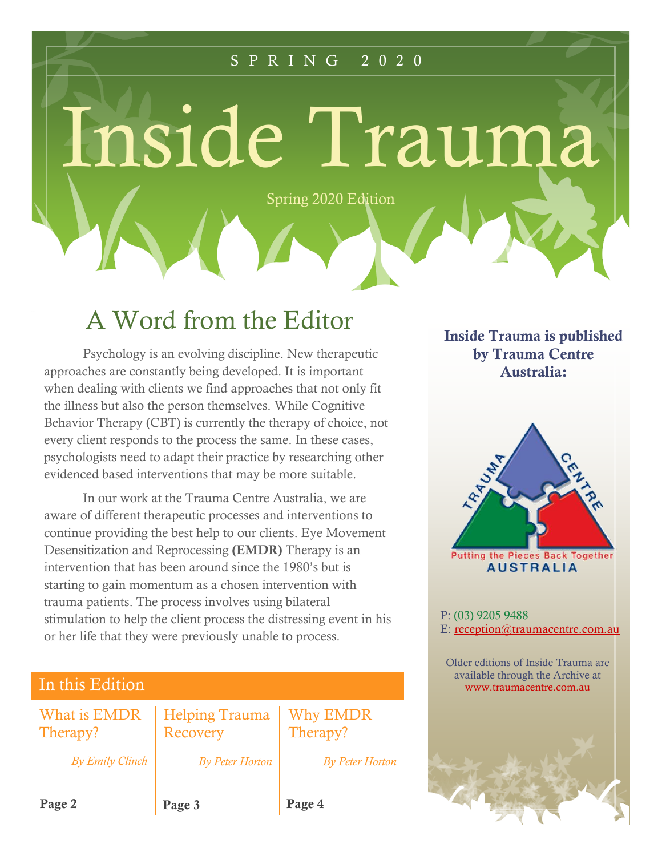### S P R I N G 2 0 2 0

Inside Trauma

Spring 2020 Edition

## A Word from the Editor

Psychology is an evolving discipline. New therapeutic approaches are constantly being developed. It is important when dealing with clients we find approaches that not only fit the illness but also the person themselves. While Cognitive Behavior Therapy (CBT) is currently the therapy of choice, not every client responds to the process the same. In these cases, psychologists need to adapt their practice by researching other evidenced based interventions that may be more suitable.

In our work at the Trauma Centre Australia, we are aware of different therapeutic processes and interventions to continue providing the best help to our clients. Eye Movement Desensitization and Reprocessing **(EMDR)** Therapy is an intervention that has been around since the 1980's but is starting to gain momentum as a chosen intervention with trauma patients. The process involves using bilateral stimulation to help the client process the distressing event in his or her life that they were previously unable to process.

| In this Edition          |                                   |                             |
|--------------------------|-----------------------------------|-----------------------------|
| What is EMDR<br>Therapy? | <b>Helping Trauma</b><br>Recovery | <b>Why EMDR</b><br>Therapy? |
| <b>By Emily Clinch</b>   | <b>By Peter Horton</b>            | <b>By Peter Horton</b>      |
| Page 2                   | Page 3                            | Page 4                      |

**Inside Trauma is published by Trauma Centre Australia:**

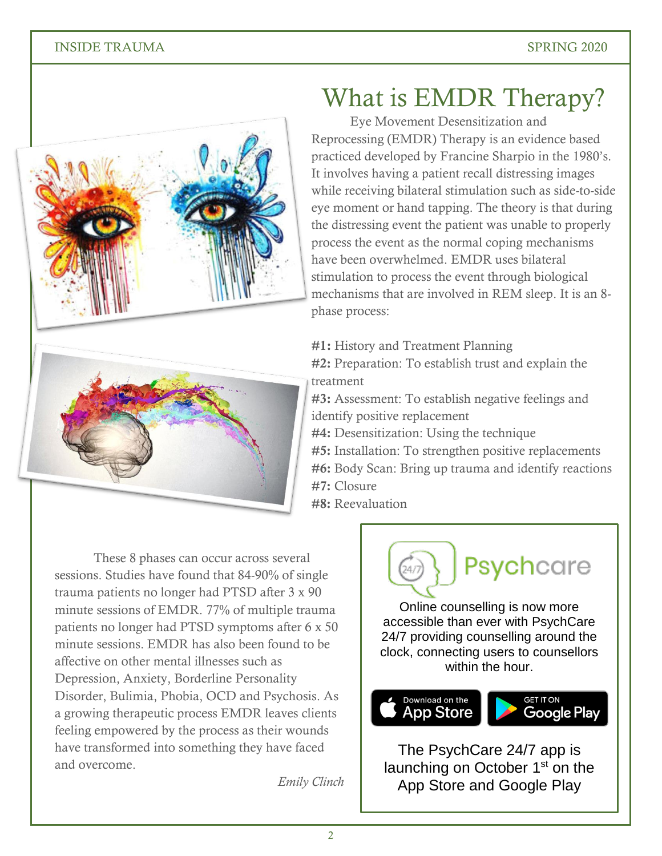

What is EMDR Therapy?

Eye Movement Desensitization and Reprocessing (EMDR) Therapy is an evidence based practiced developed by Francine Sharpio in the 1980's. It involves having a patient recall distressing images while receiving bilateral stimulation such as side-to-side eye moment or hand tapping. The theory is that during the distressing event the patient was unable to properly process the event as the normal coping mechanisms have been overwhelmed. EMDR uses bilateral stimulation to process the event through biological mechanisms that are involved in REM sleep. It is an 8 phase process:

**#1:** History and Treatment Planning

**#2:** Preparation: To establish trust and explain the treatment

**#3:** Assessment: To establish negative feelings and identify positive replacement

**#4:** Desensitization: Using the technique

**#5:** Installation: To strengthen positive replacements **#6:** Body Scan: Bring up trauma and identify reactions **#7:** Closure

**#8:** Reevaluation

These 8 phases can occur across several sessions. Studies have found that 84-90% of single trauma patients no longer had PTSD after 3 x 90 minute sessions of EMDR. 77% of multiple trauma patients no longer had PTSD symptoms after 6 x 50 minute sessions. EMDR has also been found to be affective on other mental illnesses such as Depression, Anxiety, Borderline Personality Disorder, Bulimia, Phobia, OCD and Psychosis. As a growing therapeutic process EMDR leaves clients feeling empowered by the process as their wounds have transformed into something they have faced and overcome.

*Emily Clinch* 





The PsychCare 24/7 app is launching on October 1<sup>st</sup> on the App Store and Google Play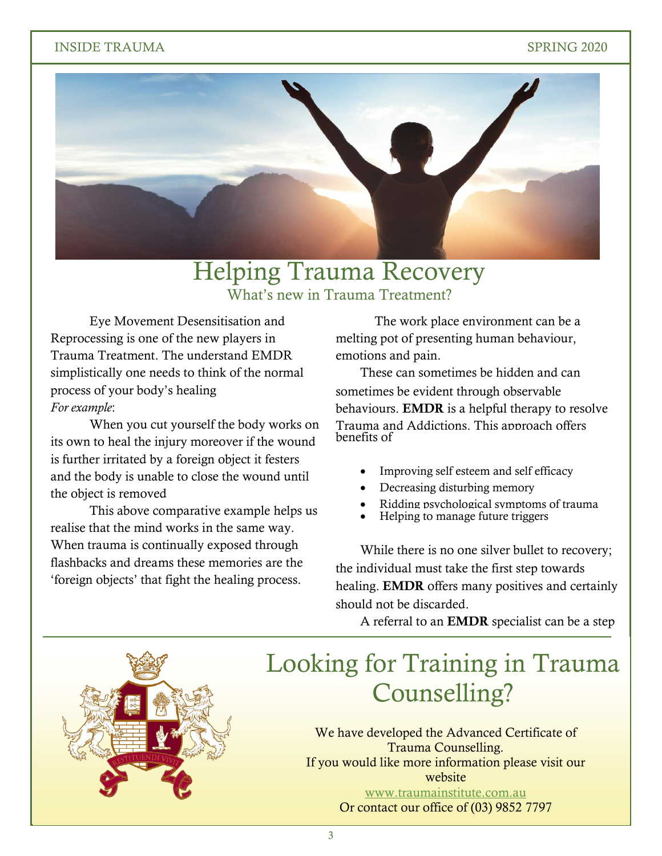### INSIDE TRAUMA SPRING 2020



### Helping Trauma Recovery What's new in Trauma Treatment?

Eye Movement Desensitisation and Reprocessing is one of the new players in Trauma Treatment. The understand EMDR simplistically one needs to think of the normal process of your body's healing *For example*:

When you cut yourself the body works on its own to heal the injury moreover if the wound is further irritated by a foreign object it festers and the body is unable to close the wound until the object is removed

This above comparative example helps us realise that the mind works in the same way. When trauma is continually exposed through flashbacks and dreams these memories are the 'foreign objects' that fight the healing process.

The work place environment can be a melting pot of presenting human behaviour, emotions and pain.

These can sometimes be hidden and can sometimes be evident through observable behaviours. **EMDR** is a helpful therapy to resolve Trauma and Addictions. This approach offers benefits of

- Improving self esteem and self efficacy
- Decreasing disturbing memory
- Ridding psychological symptoms of trauma
- Helping to manage future triggers

While there is no one silver bullet to recovery; the individual must take the first step towards healing. **EMDR** offers many positives and certainly should not be discarded.

toward recovery. Contact the Trauma Centre.

A referral to an **EMDR** specialist can be a step

# Looking for Training in Trauma Counselling?

We have developed the Advanced Certificate of<br>Trauma Counselling. If you would like more information please visit our<br>website Trauma Counselling. website [www.traumainstitute.com.au](http://www.traumainstitute.com.au/) Or contact our office of (03) 9852 7797

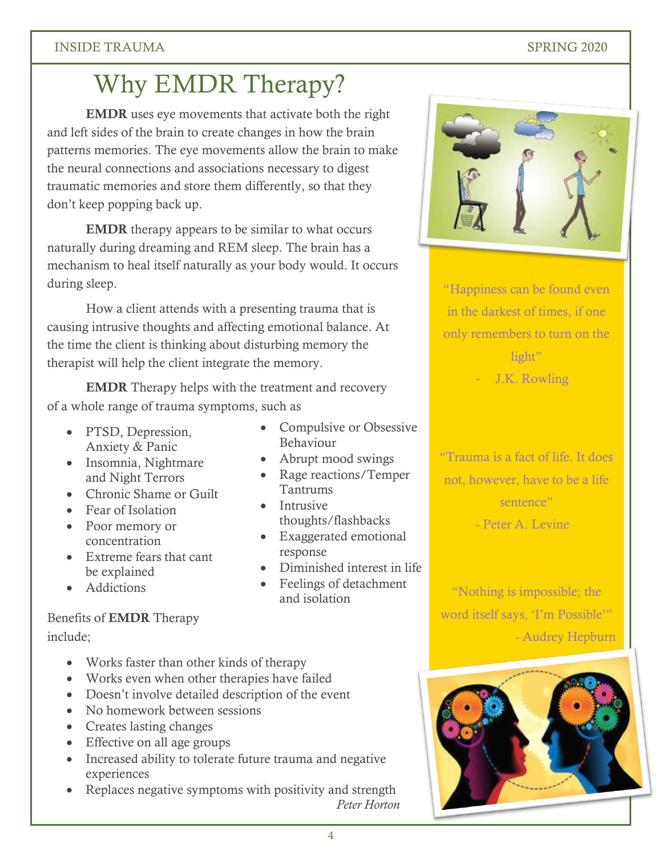### INSIDE TRAUMA SPRING 2020

## Why EMDR Therapy?

**EMDR** uses eye movements that activate both the right and left sides of the brain to create changes in how the brain patterns memories. The eye movements allow the brain to make the neural connections and associations necessary to digest traumatic memories and store them differently, so that they don't keep popping back up.

**EMDR** therapy appears to be similar to what occurs naturally during dreaming and REM sleep. The brain has a mechanism to heal itself naturally as your body would. It occurs during sleep.

How a client attends with a presenting trauma that is causing intrusive thoughts and affecting emotional balance. At the time the client is thinking about disturbing memory the therapist will help the client integrate the memory.

**EMDR** Therapy helps with the treatment and recovery of a whole range of trauma symptoms, such as

- PTSD, Depression, Anxiety & Panic
- Insomnia, Nightmare and Night Terrors
- Chronic Shame or Guilt
- Fear of Isolation
- Poor memory or concentration
- Extreme fears that cant be explained
- Addictions

### Benefits of **EMDR** Therapy include;

- Works faster than other kinds of therapy
- Works even when other therapies have failed
- Doesn't involve detailed description of the event
- No homework between sessions
- Creates lasting changes
- Effective on all age groups
- Increased ability to tolerate future trauma and negative experiences
- Replaces negative symptoms with positivity and strength *Peter Horton*



"Happiness can be found even in the darkest of times, if one only remembers to turn on the light"

J.K. Rowling

"Trauma is a fact of life. It does not, however, have to be a life sentence"

"Nothing is impossible; the word itself says, 'I'm Possible'" - Audrey Hepburn



- Peter A. Levine

#### • Abrupt mood swings • Rage reactions/Temper Tantrums • Intrusive

thoughts/flashbacks

Behaviour

 Exaggerated emotional response

• Compulsive or Obsessive

- Diminished interest in life
- Feelings of detachment and isolation